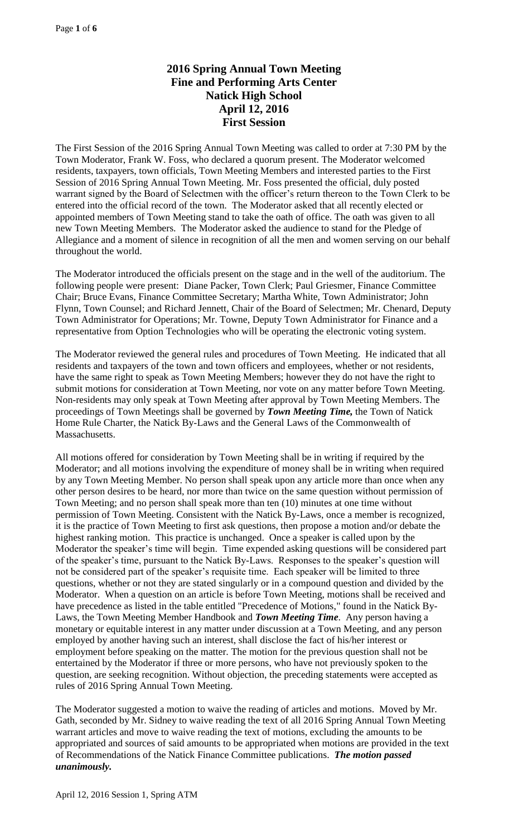# **2016 Spring Annual Town Meeting Fine and Performing Arts Center Natick High School April 12, 2016 First Session**

The First Session of the 2016 Spring Annual Town Meeting was called to order at 7:30 PM by the Town Moderator, Frank W. Foss, who declared a quorum present. The Moderator welcomed residents, taxpayers, town officials, Town Meeting Members and interested parties to the First Session of 2016 Spring Annual Town Meeting. Mr. Foss presented the official, duly posted warrant signed by the Board of Selectmen with the officer's return thereon to the Town Clerk to be entered into the official record of the town. The Moderator asked that all recently elected or appointed members of Town Meeting stand to take the oath of office. The oath was given to all new Town Meeting Members. The Moderator asked the audience to stand for the Pledge of Allegiance and a moment of silence in recognition of all the men and women serving on our behalf throughout the world.

The Moderator introduced the officials present on the stage and in the well of the auditorium. The following people were present: Diane Packer, Town Clerk; Paul Griesmer, Finance Committee Chair; Bruce Evans, Finance Committee Secretary; Martha White, Town Administrator; John Flynn, Town Counsel; and Richard Jennett, Chair of the Board of Selectmen; Mr. Chenard, Deputy Town Administrator for Operations; Mr. Towne, Deputy Town Administrator for Finance and a representative from Option Technologies who will be operating the electronic voting system.

The Moderator reviewed the general rules and procedures of Town Meeting. He indicated that all residents and taxpayers of the town and town officers and employees, whether or not residents, have the same right to speak as Town Meeting Members; however they do not have the right to submit motions for consideration at Town Meeting, nor vote on any matter before Town Meeting. Non-residents may only speak at Town Meeting after approval by Town Meeting Members. The proceedings of Town Meetings shall be governed by *Town Meeting Time,* the Town of Natick Home Rule Charter, the Natick By-Laws and the General Laws of the Commonwealth of Massachusetts.

All motions offered for consideration by Town Meeting shall be in writing if required by the Moderator; and all motions involving the expenditure of money shall be in writing when required by any Town Meeting Member. No person shall speak upon any article more than once when any other person desires to be heard, nor more than twice on the same question without permission of Town Meeting; and no person shall speak more than ten (10) minutes at one time without permission of Town Meeting. Consistent with the Natick By-Laws, once a member is recognized, it is the practice of Town Meeting to first ask questions, then propose a motion and/or debate the highest ranking motion. This practice is unchanged. Once a speaker is called upon by the Moderator the speaker's time will begin. Time expended asking questions will be considered part of the speaker's time, pursuant to the Natick By-Laws. Responses to the speaker's question will not be considered part of the speaker's requisite time. Each speaker will be limited to three questions, whether or not they are stated singularly or in a compound question and divided by the Moderator. When a question on an article is before Town Meeting, motions shall be received and have precedence as listed in the table entitled "Precedence of Motions," found in the Natick By-Laws, the Town Meeting Member Handbook and *Town Meeting Time*. Any person having a monetary or equitable interest in any matter under discussion at a Town Meeting, and any person employed by another having such an interest, shall disclose the fact of his/her interest or employment before speaking on the matter. The motion for the previous question shall not be entertained by the Moderator if three or more persons, who have not previously spoken to the question, are seeking recognition. Without objection, the preceding statements were accepted as rules of 2016 Spring Annual Town Meeting.

The Moderator suggested a motion to waive the reading of articles and motions. Moved by Mr. Gath, seconded by Mr. Sidney to waive reading the text of all 2016 Spring Annual Town Meeting warrant articles and move to waive reading the text of motions, excluding the amounts to be appropriated and sources of said amounts to be appropriated when motions are provided in the text of Recommendations of the Natick Finance Committee publications. *The motion passed unanimously.*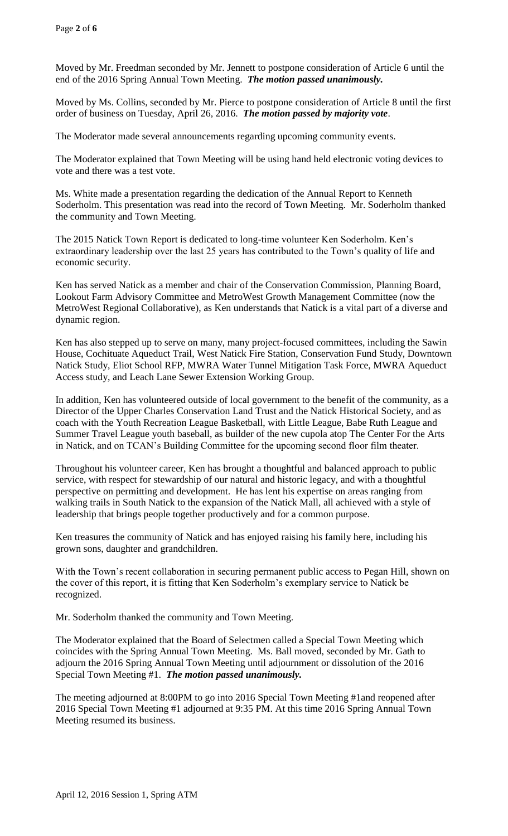Moved by Mr. Freedman seconded by Mr. Jennett to postpone consideration of Article 6 until the end of the 2016 Spring Annual Town Meeting. *The motion passed unanimously.*

Moved by Ms. Collins, seconded by Mr. Pierce to postpone consideration of Article 8 until the first order of business on Tuesday, April 26, 2016. *The motion passed by majority vote*.

The Moderator made several announcements regarding upcoming community events.

The Moderator explained that Town Meeting will be using hand held electronic voting devices to vote and there was a test vote.

Ms. White made a presentation regarding the dedication of the Annual Report to Kenneth Soderholm. This presentation was read into the record of Town Meeting. Mr. Soderholm thanked the community and Town Meeting.

The 2015 Natick Town Report is dedicated to long-time volunteer Ken Soderholm. Ken's extraordinary leadership over the last 25 years has contributed to the Town's quality of life and economic security.

Ken has served Natick as a member and chair of the Conservation Commission, Planning Board, Lookout Farm Advisory Committee and MetroWest Growth Management Committee (now the MetroWest Regional Collaborative), as Ken understands that Natick is a vital part of a diverse and dynamic region.

Ken has also stepped up to serve on many, many project-focused committees, including the Sawin House, Cochituate Aqueduct Trail, West Natick Fire Station, Conservation Fund Study, Downtown Natick Study, Eliot School RFP, MWRA Water Tunnel Mitigation Task Force, MWRA Aqueduct Access study, and Leach Lane Sewer Extension Working Group.

In addition, Ken has volunteered outside of local government to the benefit of the community, as a Director of the Upper Charles Conservation Land Trust and the Natick Historical Society, and as coach with the Youth Recreation League Basketball, with Little League, Babe Ruth League and Summer Travel League youth baseball, as builder of the new cupola atop The Center For the Arts in Natick, and on TCAN's Building Committee for the upcoming second floor film theater.

Throughout his volunteer career, Ken has brought a thoughtful and balanced approach to public service, with respect for stewardship of our natural and historic legacy, and with a thoughtful perspective on permitting and development. He has lent his expertise on areas ranging from walking trails in South Natick to the expansion of the Natick Mall, all achieved with a style of leadership that brings people together productively and for a common purpose.

Ken treasures the community of Natick and has enjoyed raising his family here, including his grown sons, daughter and grandchildren.

With the Town's recent collaboration in securing permanent public access to Pegan Hill, shown on the cover of this report, it is fitting that Ken Soderholm's exemplary service to Natick be recognized.

Mr. Soderholm thanked the community and Town Meeting.

The Moderator explained that the Board of Selectmen called a Special Town Meeting which coincides with the Spring Annual Town Meeting. Ms. Ball moved, seconded by Mr. Gath to adjourn the 2016 Spring Annual Town Meeting until adjournment or dissolution of the 2016 Special Town Meeting #1. *The motion passed unanimously.*

The meeting adjourned at 8:00PM to go into 2016 Special Town Meeting #1and reopened after 2016 Special Town Meeting #1 adjourned at 9:35 PM. At this time 2016 Spring Annual Town Meeting resumed its business.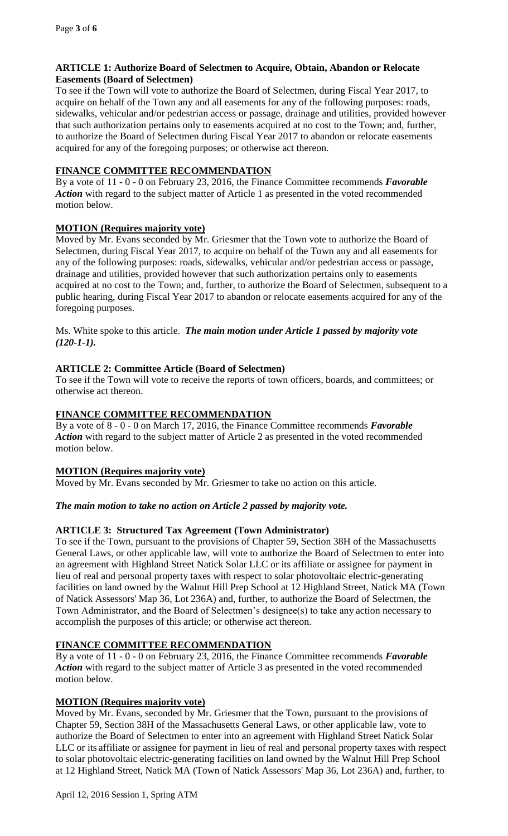#### **ARTICLE 1: Authorize Board of Selectmen to Acquire, Obtain, Abandon or Relocate Easements (Board of Selectmen)**

To see if the Town will vote to authorize the Board of Selectmen, during Fiscal Year 2017, to acquire on behalf of the Town any and all easements for any of the following purposes: roads, sidewalks, vehicular and/or pedestrian access or passage, drainage and utilities, provided however that such authorization pertains only to easements acquired at no cost to the Town; and, further, to authorize the Board of Selectmen during Fiscal Year 2017 to abandon or relocate easements acquired for any of the foregoing purposes; or otherwise act thereon.

#### **FINANCE COMMITTEE RECOMMENDATION**

By a vote of 11 - 0 - 0 on February 23, 2016, the Finance Committee recommends *Favorable Action* with regard to the subject matter of Article 1 as presented in the voted recommended motion below.

## **MOTION (Requires majority vote)**

Moved by Mr. Evans seconded by Mr. Griesmer that the Town vote to authorize the Board of Selectmen, during Fiscal Year 2017, to acquire on behalf of the Town any and all easements for any of the following purposes: roads, sidewalks, vehicular and/or pedestrian access or passage, drainage and utilities, provided however that such authorization pertains only to easements acquired at no cost to the Town; and, further, to authorize the Board of Selectmen, subsequent to a public hearing, during Fiscal Year 2017 to abandon or relocate easements acquired for any of the foregoing purposes.

Ms. White spoke to this article. *The main motion under Article 1 passed by majority vote (120-1-1).*

## **ARTICLE 2: Committee Article (Board of Selectmen)**

To see if the Town will vote to receive the reports of town officers, boards, and committees; or otherwise act thereon.

## **FINANCE COMMITTEE RECOMMENDATION**

By a vote of 8 - 0 - 0 on March 17, 2016, the Finance Committee recommends *Favorable*  Action with regard to the subject matter of Article 2 as presented in the voted recommended motion below.

## **MOTION (Requires majority vote)**

Moved by Mr. Evans seconded by Mr. Griesmer to take no action on this article.

## *The main motion to take no action on Article 2 passed by majority vote.*

## **ARTICLE 3: Structured Tax Agreement (Town Administrator)**

To see if the Town, pursuant to the provisions of Chapter 59, Section 38H of the Massachusetts General Laws, or other applicable law, will vote to authorize the Board of Selectmen to enter into an agreement with Highland Street Natick Solar LLC or its affiliate or assignee for payment in lieu of real and personal property taxes with respect to solar photovoltaic electric-generating facilities on land owned by the Walnut Hill Prep School at 12 Highland Street, Natick MA (Town of Natick Assessors' Map 36, Lot 236A) and, further, to authorize the Board of Selectmen, the Town Administrator, and the Board of Selectmen's designee(s) to take any action necessary to accomplish the purposes of this article; or otherwise act thereon.

## **FINANCE COMMITTEE RECOMMENDATION**

By a vote of 11 - 0 - 0 on February 23, 2016, the Finance Committee recommends *Favorable Action* with regard to the subject matter of Article 3 as presented in the voted recommended motion below.

## **MOTION (Requires majority vote)**

Moved by Mr. Evans, seconded by Mr. Griesmer that the Town, pursuant to the provisions of Chapter 59, Section 38H of the Massachusetts General Laws, or other applicable law, vote to authorize the Board of Selectmen to enter into an agreement with Highland Street Natick Solar LLC or its affiliate or assignee for payment in lieu of real and personal property taxes with respect to solar photovoltaic electric-generating facilities on land owned by the Walnut Hill Prep School at 12 Highland Street, Natick MA (Town of Natick Assessors' Map 36, Lot 236A) and, further, to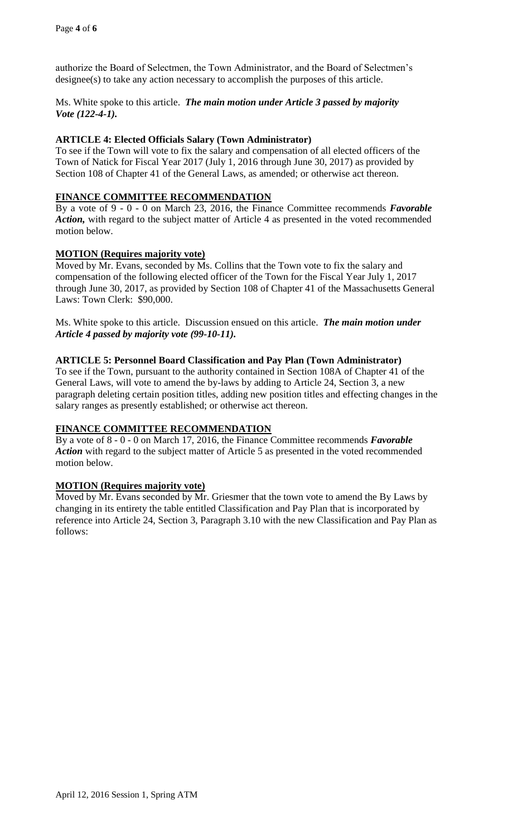authorize the Board of Selectmen, the Town Administrator, and the Board of Selectmen's designee(s) to take any action necessary to accomplish the purposes of this article.

Ms. White spoke to this article. *The main motion under Article 3 passed by majority Vote (122-4-1).*

## **ARTICLE 4: Elected Officials Salary (Town Administrator)**

To see if the Town will vote to fix the salary and compensation of all elected officers of the Town of Natick for Fiscal Year 2017 (July 1, 2016 through June 30, 2017) as provided by Section 108 of Chapter 41 of the General Laws, as amended; or otherwise act thereon.

#### **FINANCE COMMITTEE RECOMMENDATION**

By a vote of 9 - 0 - 0 on March 23, 2016, the Finance Committee recommends *Favorable Action,* with regard to the subject matter of Article 4 as presented in the voted recommended motion below.

#### **MOTION (Requires majority vote)**

Moved by Mr. Evans, seconded by Ms. Collins that the Town vote to fix the salary and compensation of the following elected officer of the Town for the Fiscal Year July 1, 2017 through June 30, 2017, as provided by Section 108 of Chapter 41 of the Massachusetts General Laws: Town Clerk: \$90,000.

Ms. White spoke to this article. Discussion ensued on this article. *The main motion under Article 4 passed by majority vote (99-10-11).*

## **ARTICLE 5: Personnel Board Classification and Pay Plan (Town Administrator)**

To see if the Town, pursuant to the authority contained in Section 108A of Chapter 41 of the General Laws, will vote to amend the by-laws by adding to Article 24, Section 3, a new paragraph deleting certain position titles, adding new position titles and effecting changes in the salary ranges as presently established; or otherwise act thereon.

## **FINANCE COMMITTEE RECOMMENDATION**

By a vote of 8 - 0 - 0 on March 17, 2016, the Finance Committee recommends *Favorable Action* with regard to the subject matter of Article 5 as presented in the voted recommended motion below.

#### **MOTION (Requires majority vote)**

Moved by Mr. Evans seconded by Mr. Griesmer that the town vote to amend the By Laws by changing in its entirety the table entitled Classification and Pay Plan that is incorporated by reference into Article 24, Section 3, Paragraph 3.10 with the new Classification and Pay Plan as follows: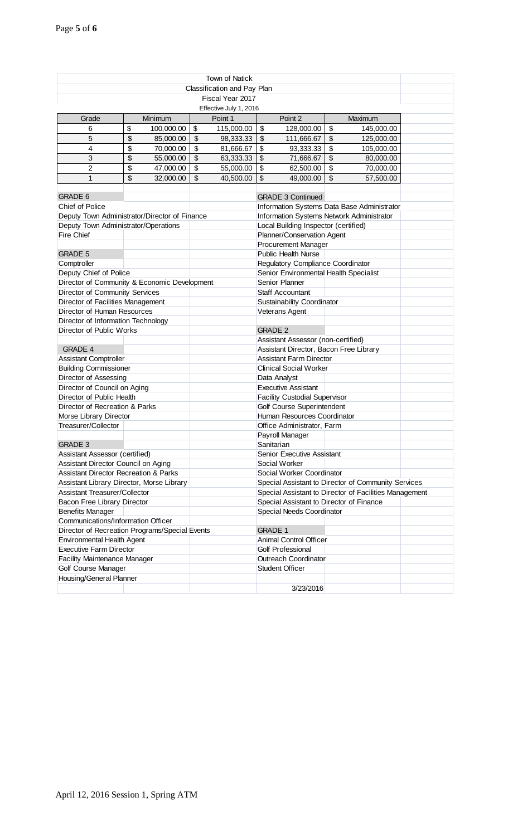| <b>Town of Natick</b>                            |                                      |            |            |                                      |                                             |                                                        |    |            |  |
|--------------------------------------------------|--------------------------------------|------------|------------|--------------------------------------|---------------------------------------------|--------------------------------------------------------|----|------------|--|
| Classification and Pay Plan                      |                                      |            |            |                                      |                                             |                                                        |    |            |  |
| Fiscal Year 2017                                 |                                      |            |            |                                      |                                             |                                                        |    |            |  |
| Effective July 1, 2016                           |                                      |            |            |                                      |                                             |                                                        |    |            |  |
| Grade                                            |                                      | Minimum    |            | Point 1                              |                                             | Point 2                                                |    | Maximum    |  |
| 6                                                | \$                                   | 100,000.00 | \$         | 115,000.00                           | $\boldsymbol{\mathsf{S}}$                   | 128,000.00                                             | \$ | 145,000.00 |  |
| 5                                                | \$                                   | 85,000.00  | \$         | 98,333.33                            | $\sqrt[6]{3}$                               | 111,666.67                                             | \$ | 125,000.00 |  |
| 4                                                | \$                                   | 70,000.00  | \$         | 81,666.67                            | $\boldsymbol{\mathsf{S}}$                   | 93,333.33                                              | \$ | 105,000.00 |  |
| 3                                                | \$                                   | 55,000.00  | $\sqrt{2}$ | 63,333.33                            | $\sqrt[6]{\frac{1}{2}}$                     | 71,666.67                                              | \$ | 80,000.00  |  |
| $\overline{2}$                                   | \$                                   | 47,000.00  | $\sqrt{2}$ | 55,000.00                            | $\boldsymbol{\mathsf{S}}$                   | 62,500.00                                              | \$ | 70,000.00  |  |
| 1                                                | \$                                   | 32,000.00  | \$         | 40,500.00                            | $\boldsymbol{\mathsf{S}}$                   | 49,000.00                                              | \$ | 57,500.00  |  |
|                                                  |                                      |            |            |                                      |                                             |                                                        |    |            |  |
| <b>GRADE 6</b>                                   |                                      |            |            |                                      |                                             | <b>GRADE 3 Continued</b>                               |    |            |  |
| <b>Chief of Police</b>                           |                                      |            |            |                                      | Information Systems Data Base Administrator |                                                        |    |            |  |
| Deputy Town Administrator/Director of Finance    |                                      |            |            |                                      | Information Systems Network Administrator   |                                                        |    |            |  |
|                                                  | Deputy Town Administrator/Operations |            |            |                                      | Local Building Inspector (certified)        |                                                        |    |            |  |
| Fire Chief                                       |                                      |            |            |                                      | Planner/Conservation Agent                  |                                                        |    |            |  |
|                                                  |                                      |            |            |                                      | <b>Procurement Manager</b>                  |                                                        |    |            |  |
| <b>GRADE 5</b>                                   |                                      |            |            |                                      |                                             | <b>Public Health Nurse</b>                             |    |            |  |
| Comptroller                                      |                                      |            |            |                                      | Regulatory Compliance Coordinator           |                                                        |    |            |  |
| Deputy Chief of Police                           |                                      |            |            |                                      | Senior Environmental Health Specialist      |                                                        |    |            |  |
| Director of Community & Economic Development     |                                      |            |            |                                      |                                             | Senior Planner                                         |    |            |  |
| Director of Community Services                   |                                      |            |            |                                      |                                             | <b>Staff Accountant</b>                                |    |            |  |
| Director of Facilities Management                |                                      |            |            |                                      |                                             | Sustainability Coordinator                             |    |            |  |
| Director of Human Resources                      |                                      |            |            |                                      |                                             | Veterans Agent                                         |    |            |  |
| Director of Information Technology               |                                      |            |            |                                      |                                             |                                                        |    |            |  |
| Director of Public Works                         |                                      |            |            |                                      | <b>GRADE 2</b>                              |                                                        |    |            |  |
|                                                  |                                      |            |            |                                      |                                             | Assistant Assessor (non-certified)                     |    |            |  |
| <b>GRADE 4</b>                                   |                                      |            |            |                                      | Assistant Director, Bacon Free Library      |                                                        |    |            |  |
| <b>Assistant Comptroller</b>                     |                                      |            |            |                                      | <b>Assistant Farm Director</b>              |                                                        |    |            |  |
| <b>Building Commissioner</b>                     |                                      |            |            |                                      | <b>Clinical Social Worker</b>               |                                                        |    |            |  |
| Director of Assessing                            |                                      |            |            | Data Analyst                         |                                             |                                                        |    |            |  |
| Director of Council on Aging                     |                                      |            |            |                                      | <b>Executive Assistant</b>                  |                                                        |    |            |  |
| Director of Public Health                        |                                      |            |            | <b>Facility Custodial Supervisor</b> |                                             |                                                        |    |            |  |
| Director of Recreation & Parks                   |                                      |            |            |                                      | Golf Course Superintendent                  |                                                        |    |            |  |
| Morse Library Director                           |                                      |            |            |                                      | Human Resources Coordinator                 |                                                        |    |            |  |
| Treasurer/Collector                              |                                      |            |            |                                      |                                             | Office Administrator, Farm                             |    |            |  |
|                                                  |                                      |            |            |                                      |                                             | Payroll Manager                                        |    |            |  |
| <b>GRADE 3</b>                                   |                                      |            |            |                                      | Sanitarian                                  |                                                        |    |            |  |
| Assistant Assessor (certified)                   |                                      |            |            |                                      |                                             | Senior Executive Assistant                             |    |            |  |
| Assistant Director Council on Aging              |                                      |            |            |                                      |                                             | Social Worker                                          |    |            |  |
| <b>Assistant Director Recreation &amp; Parks</b> |                                      |            |            |                                      |                                             | Social Worker Coordinator                              |    |            |  |
| Assistant Library Director, Morse Library        |                                      |            |            |                                      |                                             | Special Assistant to Director of Community Services    |    |            |  |
| <b>Assistant Treasurer/Collector</b>             |                                      |            |            |                                      |                                             | Special Assistant to Director of Facilities Management |    |            |  |
| Bacon Free Library Director                      |                                      |            |            |                                      | Special Assistant to Director of Finance    |                                                        |    |            |  |
| <b>Benefits Manager</b>                          |                                      |            |            |                                      |                                             | Special Needs Coordinator                              |    |            |  |
| Communications/Information Officer               |                                      |            |            |                                      |                                             |                                                        |    |            |  |
| Director of Recreation Programs/Special Events   |                                      |            |            |                                      |                                             | <b>GRADE 1</b>                                         |    |            |  |
| Environmental Health Agent                       |                                      |            |            |                                      |                                             | <b>Animal Control Officer</b>                          |    |            |  |
| <b>Executive Farm Director</b>                   |                                      |            |            |                                      |                                             | <b>Golf Professional</b>                               |    |            |  |
| <b>Facility Maintenance Manager</b>              |                                      |            |            |                                      |                                             | <b>Outreach Coordinator</b>                            |    |            |  |
| Golf Course Manager                              |                                      |            |            |                                      |                                             | <b>Student Officer</b>                                 |    |            |  |
| Housing/General Planner                          |                                      |            |            |                                      |                                             |                                                        |    |            |  |
|                                                  |                                      |            |            |                                      |                                             | 3/23/2016                                              |    |            |  |